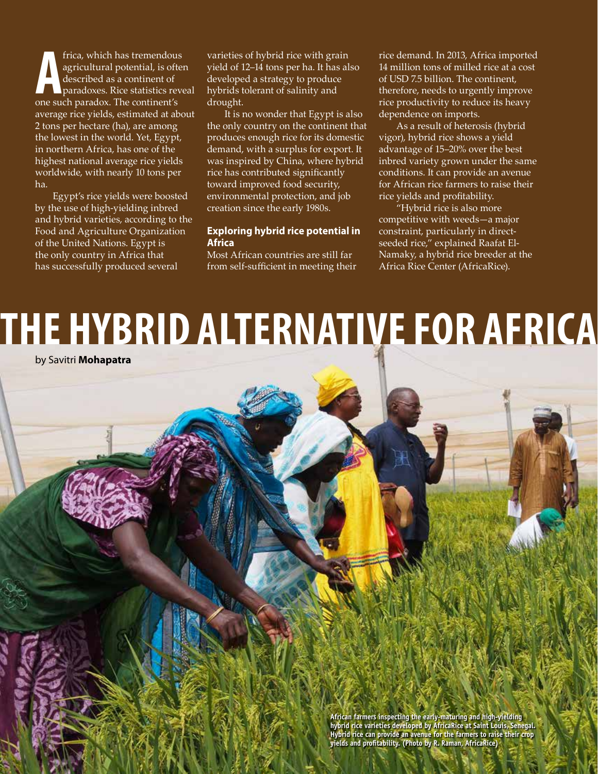**A** one such paradox. The continent's frica, which has tremendous agricultural potential, is often described as a continent of paradoxes. Rice statistics reveal average rice yields, estimated at about 2 tons per hectare (ha), are among the lowest in the world. Yet, Egypt, in northern Africa, has one of the highest national average rice yields worldwide, with nearly 10 tons per ha.

Egypt's rice yields were boosted by the use of high-yielding inbred and hybrid varieties, according to the Food and Agriculture Organization of the United Nations. Egypt is the only country in Africa that has successfully produced several

varieties of hybrid rice with grain yield of 12–14 tons per ha. It has also developed a strategy to produce hybrids tolerant of salinity and drought.

It is no wonder that Egypt is also the only country on the continent that produces enough rice for its domestic demand, with a surplus for export. It was inspired by China, where hybrid rice has contributed significantly toward improved food security, environmental protection, and job creation since the early 1980s.

## **Exploring hybrid rice potential in Africa**

Most African countries are still far from self-sufficient in meeting their rice demand. In 2013, Africa imported 14 million tons of milled rice at a cost of USD 7.5 billion. The continent, therefore, needs to urgently improve rice productivity to reduce its heavy dependence on imports.

As a result of heterosis (hybrid vigor), hybrid rice shows a yield advantage of 15‒20% over the best inbred variety grown under the same conditions. It can provide an avenue for African rice farmers to raise their rice yields and profitability.

"Hybrid rice is also more competitive with weeds—a major constraint, particularly in directseeded rice," explained Raafat El-Namaky, a hybrid rice breeder at the Africa Rice Center (AfricaRice).

# **THE HYBRID ALTERNATIVE FOR AFRICA**

by Savitri **Mohapatra**

**20 Rice Today** July-September 2017 **African farmers inspecting the early-maturing and high-yielding hybrid rice varieties developed by AfricaRice at Saint Louis, Senegal. Hybrid rice can provide an avenue for the farmers to raise their crop yields and profitability. (Photo by R. Raman, AfricaRice)**